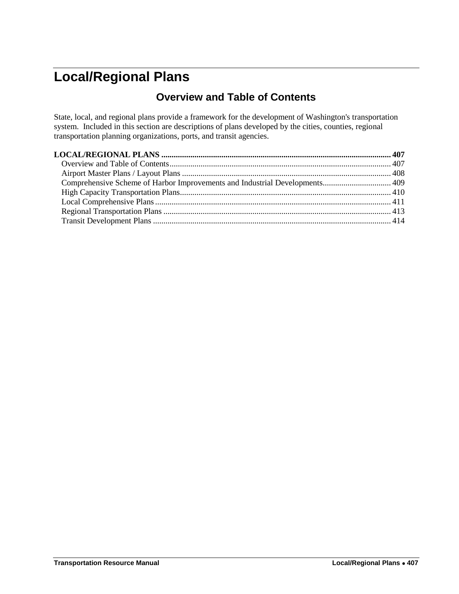## <span id="page-0-1"></span><span id="page-0-0"></span>**Local/Regional Plans**

### **Overview and Table of Contents**

State, local, and regional plans provide a framework for the development of Washington's transportation system. Included in this section are descriptions of plans developed by the cities, counties, regional transportation planning organizations, ports, and transit agencies.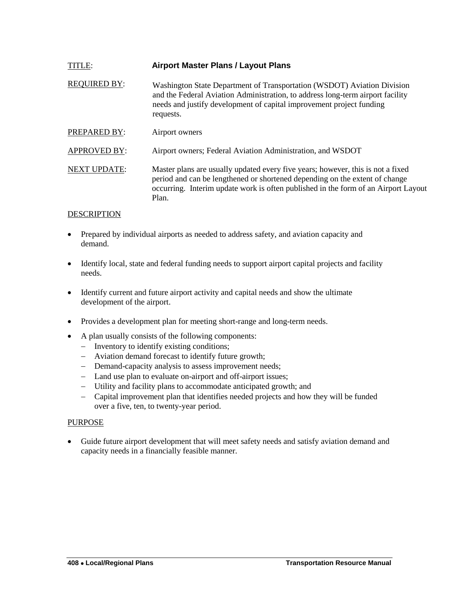<span id="page-1-0"></span>

| TITLE:              | <b>Airport Master Plans / Layout Plans</b>                                                                                                                                                                                                                    |
|---------------------|---------------------------------------------------------------------------------------------------------------------------------------------------------------------------------------------------------------------------------------------------------------|
| <b>REQUIRED BY:</b> | Washington State Department of Transportation (WSDOT) Aviation Division<br>and the Federal Aviation Administration, to address long-term airport facility<br>needs and justify development of capital improvement project funding<br>requests.                |
| PREPARED BY:        | Airport owners                                                                                                                                                                                                                                                |
| <b>APPROVED BY:</b> | Airport owners; Federal Aviation Administration, and WSDOT                                                                                                                                                                                                    |
| <b>NEXT UPDATE:</b> | Master plans are usually updated every five years; however, this is not a fixed<br>period and can be lengthened or shortened depending on the extent of change<br>occurring. Interim update work is often published in the form of an Airport Layout<br>Plan. |

- Prepared by individual airports as needed to address safety, and aviation capacity and demand.
- Identify local, state and federal funding needs to support airport capital projects and facility needs.
- Identify current and future airport activity and capital needs and show the ultimate development of the airport.
- Provides a development plan for meeting short-range and long-term needs.
- A plan usually consists of the following components:
	- Inventory to identify existing conditions;
	- Aviation demand forecast to identify future growth;
	- Demand-capacity analysis to assess improvement needs;
	- Land use plan to evaluate on-airport and off-airport issues;
	- Utility and facility plans to accommodate anticipated growth; and
	- Capital improvement plan that identifies needed projects and how they will be funded over a five, ten, to twenty-year period.

#### PURPOSE

 Guide future airport development that will meet safety needs and satisfy aviation demand and capacity needs in a financially feasible manner.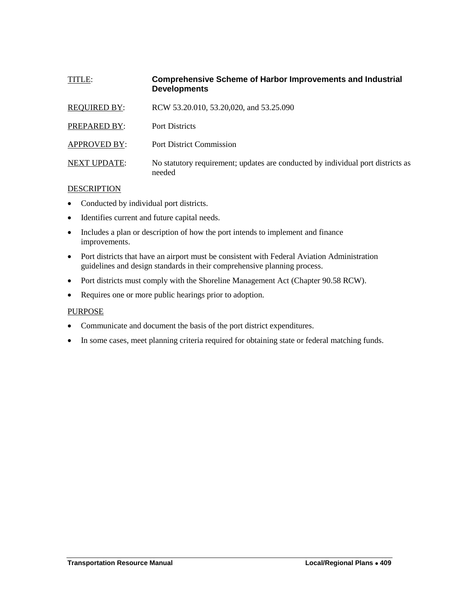### <span id="page-2-0"></span>TITLE: **Comprehensive Scheme of Harbor Improvements and Industrial Developments**

| <b>REQUIRED BY:</b> | RCW 53.20.010, 53.20,020, and 53.25.090                                                   |
|---------------------|-------------------------------------------------------------------------------------------|
| PREPARED BY:        | Port Districts                                                                            |
| <b>APPROVED BY:</b> | <b>Port District Commission</b>                                                           |
| <b>NEXT UPDATE:</b> | No statutory requirement; updates are conducted by individual port districts as<br>needed |

#### **DESCRIPTION**

- Conducted by individual port districts.
- Identifies current and future capital needs.
- Includes a plan or description of how the port intends to implement and finance improvements.
- Port districts that have an airport must be consistent with Federal Aviation Administration guidelines and design standards in their comprehensive planning process.
- Port districts must comply with the Shoreline Management Act (Chapter 90.58 RCW).
- Requires one or more public hearings prior to adoption.

#### PURPOSE

- Communicate and document the basis of the port district expenditures.
- In some cases, meet planning criteria required for obtaining state or federal matching funds.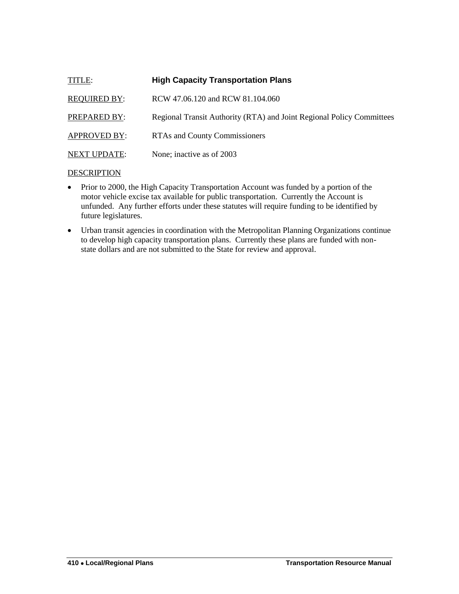<span id="page-3-0"></span>

| TITLE:              | <b>High Capacity Transportation Plans</b>                             |
|---------------------|-----------------------------------------------------------------------|
| <b>REQUIRED BY:</b> | RCW 47.06.120 and RCW 81.104.060                                      |
| PREPARED BY:        | Regional Transit Authority (RTA) and Joint Regional Policy Committees |
| <b>APPROVED BY:</b> | <b>RTAs and County Commissioners</b>                                  |
| <b>NEXT UPDATE:</b> | None; inactive as of 2003                                             |

- Prior to 2000, the High Capacity Transportation Account was funded by a portion of the motor vehicle excise tax available for public transportation. Currently the Account is unfunded. Any further efforts under these statutes will require funding to be identified by future legislatures.
- Urban transit agencies in coordination with the Metropolitan Planning Organizations continue to develop high capacity transportation plans. Currently these plans are funded with nonstate dollars and are not submitted to the State for review and approval.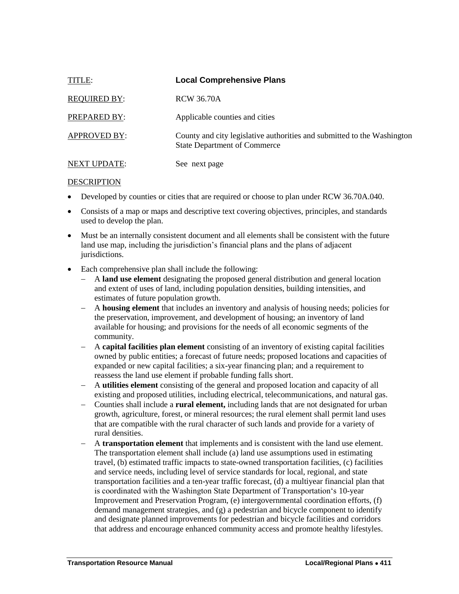<span id="page-4-0"></span>

| TITLE:              | <b>Local Comprehensive Plans</b>                                                                               |
|---------------------|----------------------------------------------------------------------------------------------------------------|
| <b>REQUIRED BY:</b> | <b>RCW 36.70A</b>                                                                                              |
| PREPARED BY:        | Applicable counties and cities                                                                                 |
| <b>APPROVED BY:</b> | County and city legislative authorities and submitted to the Washington<br><b>State Department of Commerce</b> |
| <b>NEXT UPDATE:</b> | See next page                                                                                                  |

- Developed by counties or cities that are required or choose to plan under RCW 36.70A.040.
- Consists of a map or maps and descriptive text covering objectives, principles, and standards used to develop the plan.
- Must be an internally consistent document and all elements shall be consistent with the future land use map, including the jurisdiction's financial plans and the plans of adjacent jurisdictions.
- Each comprehensive plan shall include the following:
	- A **land use element** designating the proposed general distribution and general location and extent of uses of land, including population densities, building intensities, and estimates of future population growth.
	- A **housing element** that includes an inventory and analysis of housing needs; policies for the preservation, improvement, and development of housing; an inventory of land available for housing; and provisions for the needs of all economic segments of the community.
	- A **capital facilities plan element** consisting of an inventory of existing capital facilities owned by public entities; a forecast of future needs; proposed locations and capacities of expanded or new capital facilities; a six-year financing plan; and a requirement to reassess the land use element if probable funding falls short.
	- A **utilities element** consisting of the general and proposed location and capacity of all existing and proposed utilities, including electrical, telecommunications, and natural gas.
	- Counties shall include a **rural element,** including lands that are not designated for urban growth, agriculture, forest, or mineral resources; the rural element shall permit land uses that are compatible with the rural character of such lands and provide for a variety of rural densities.
	- A **transportation element** that implements and is consistent with the land use element. The transportation element shall include (a) land use assumptions used in estimating travel, (b) estimated traffic impacts to state-owned transportation facilities, (c) facilities and service needs, including level of service standards for local, regional, and state transportation facilities and a ten-year traffic forecast, (d) a multiyear financial plan that is coordinated with the Washington State Department of Transportation's 10-year Improvement and Preservation Program, (e) intergovernmental coordination efforts, (f) demand management strategies, and (g) a pedestrian and bicycle component to identify and designate planned improvements for pedestrian and bicycle facilities and corridors that address and encourage enhanced community access and promote healthy lifestyles.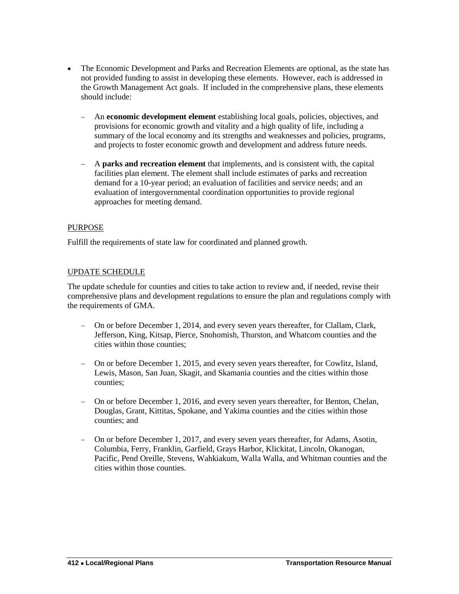- The Economic Development and Parks and Recreation Elements are optional, as the state has not provided funding to assist in developing these elements. However, each is addressed in the Growth Management Act goals. If included in the comprehensive plans, these elements should include:
	- An **economic development element** establishing local goals, policies, objectives, and provisions for economic growth and vitality and a high quality of life, including a summary of the local economy and its strengths and weaknesses and policies, programs, and projects to foster economic growth and development and address future needs.
	- A **parks and recreation element** that implements, and is consistent with, the capital facilities plan element. The element shall include estimates of parks and recreation demand for a 10-year period; an evaluation of facilities and service needs; and an evaluation of intergovernmental coordination opportunities to provide regional approaches for meeting demand.

#### PURPOSE

Fulfill the requirements of state law for coordinated and planned growth.

#### UPDATE SCHEDULE

The update schedule for counties and cities to take action to review and, if needed, revise their comprehensive plans and development regulations to ensure the plan and regulations comply with the requirements of GMA.

- On or before December 1, 2014, and every seven years thereafter, for Clallam, Clark, Jefferson, King, Kitsap, Pierce, Snohomish, Thurston, and Whatcom counties and the cities within those counties;
- On or before December 1, 2015, and every seven years thereafter, for Cowlitz, Island, Lewis, Mason, San Juan, Skagit, and Skamania counties and the cities within those counties;
- On or before December 1, 2016, and every seven years thereafter, for Benton, Chelan, Douglas, Grant, Kittitas, Spokane, and Yakima counties and the cities within those counties; and
- On or before December 1, 2017, and every seven years thereafter, for Adams, Asotin, Columbia, Ferry, Franklin, Garfield, Grays Harbor, Klickitat, Lincoln, Okanogan, Pacific, Pend Oreille, Stevens, Wahkiakum, Walla Walla, and Whitman counties and the cities within those counties.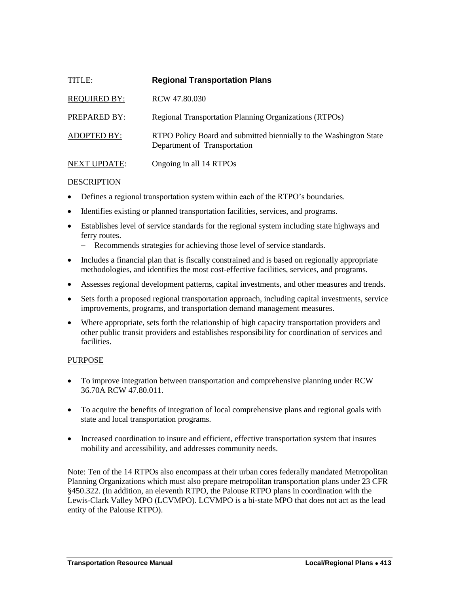<span id="page-6-0"></span>

| TITLE:              | <b>Regional Transportation Plans</b>                                                               |
|---------------------|----------------------------------------------------------------------------------------------------|
| <b>REQUIRED BY:</b> | RCW 47.80.030                                                                                      |
| PREPARED BY:        | <b>Regional Transportation Planning Organizations (RTPOs)</b>                                      |
| <b>ADOPTED BY:</b>  | RTPO Policy Board and submitted biennially to the Washington State<br>Department of Transportation |
| <b>NEXT UPDATE:</b> | Ongoing in all 14 RTPOs                                                                            |

## Defines a regional transportation system within each of the RTPO's boundaries.

- Identifies existing or planned transportation facilities, services, and programs.
- Establishes level of service standards for the regional system including state highways and ferry routes.
	- Recommends strategies for achieving those level of service standards.
- Includes a financial plan that is fiscally constrained and is based on regionally appropriate methodologies, and identifies the most cost-effective facilities, services, and programs.
- Assesses regional development patterns, capital investments, and other measures and trends.
- Sets forth a proposed regional transportation approach, including capital investments, service improvements, programs, and transportation demand management measures.
- Where appropriate, sets forth the relationship of high capacity transportation providers and other public transit providers and establishes responsibility for coordination of services and facilities.

#### PURPOSE

- To improve integration between transportation and comprehensive planning under RCW 36.70A RCW 47.80.011.
- To acquire the benefits of integration of local comprehensive plans and regional goals with state and local transportation programs.
- Increased coordination to insure and efficient, effective transportation system that insures mobility and accessibility, and addresses community needs.

Note: Ten of the 14 RTPOs also encompass at their urban cores federally mandated Metropolitan Planning Organizations which must also prepare metropolitan transportation plans under 23 CFR §450.322. (In addition, an eleventh RTPO, the Palouse RTPO plans in coordination with the Lewis-Clark Valley MPO (LCVMPO). LCVMPO is a bi-state MPO that does not act as the lead entity of the Palouse RTPO).